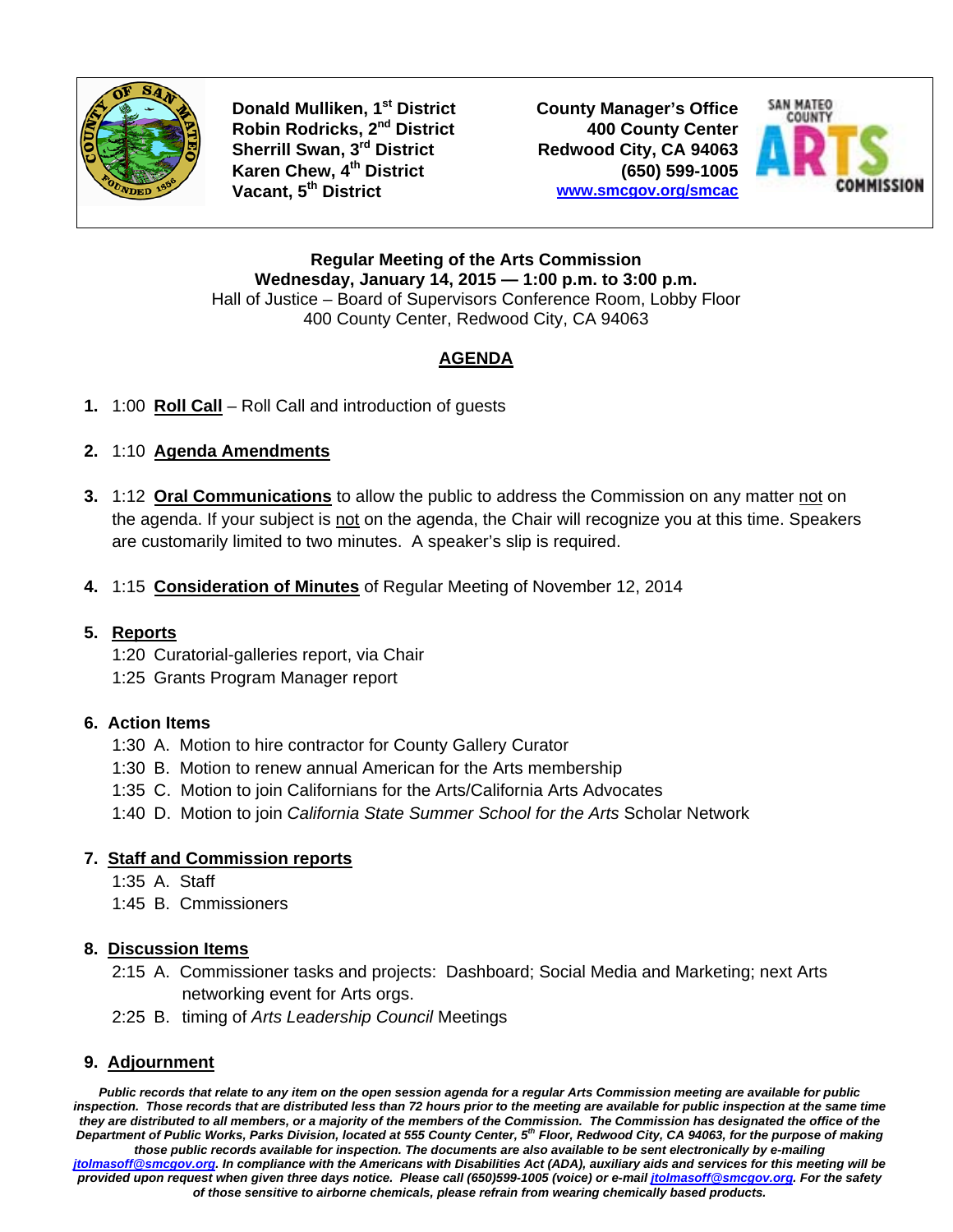

**Donald Mulliken, 1<sup>st</sup> District County Manager's Office Robin Rodricks, 2nd District 400 County Center Sherrill Swan, 3rd District Redwood City, CA 94063 Karen Chew, 4<sup>th</sup> District** (650) 599-1005<br>Vacant, 5<sup>th</sup> District (*www.smcgov.org/smcac* 

**Vacant, 5th District www.smcgov.org/smcac**



**Regular Meeting of the Arts Commission Wednesday, January 14, 2015 — 1:00 p.m. to 3:00 p.m.**  Hall of Justice – Board of Supervisors Conference Room, Lobby Floor 400 County Center, Redwood City, CA 94063

# **AGENDA**

**1.** 1:00 **Roll Call** – Roll Call and introduction of guests

## **2.** 1:10 **Agenda Amendments**

- **3.** 1:12 **Oral Communications** to allow the public to address the Commission on any matter not on the agenda. If your subject is not on the agenda, the Chair will recognize you at this time. Speakers are customarily limited to two minutes. A speaker's slip is required.
- **4.** 1:15 **Consideration of Minutes** of Regular Meeting of November 12, 2014

### **5. Reports**

- 1:20 Curatorial-galleries report, via Chair
- 1:25 Grants Program Manager report

### **6. Action Items**

- 1:30 A. Motion to hire contractor for County Gallery Curator
- 1:30 B. Motion to renew annual American for the Arts membership
- 1:35 C. Motion to join Californians for the Arts/California Arts Advocates
- 1:40 D. Motion to join *California State Summer School for the Arts* Scholar Network

### **7. Staff and Commission reports**

- 1:35 A. Staff
- 1:45 B. Cmmissioners

### **8. Discussion Items**

- 2:15 A. Commissioner tasks and projects: Dashboard; Social Media and Marketing; next Arts networking event for Arts orgs.
- 2:25 B. timing of *Arts Leadership Council* Meetings

### **9. Adjournment**

*Public records that relate to any item on the open session agenda for a regular Arts Commission meeting are available for public inspection. Those records that are distributed less than 72 hours prior to the meeting are available for public inspection at the same time they are distributed to all members, or a majority of the members of the Commission. The Commission has designated the office of the Department of Public Works, Parks Division, located at 555 County Center, 5th Floor, Redwood City, CA 94063, for the purpose of making those public records available for inspection. The documents are also available to be sent electronically by e-mailing jtolmasoff@smcgov.org. In compliance with the Americans with Disabilities Act (ADA), auxiliary aids and services for this meeting will be provided upon request when given three days notice. Please call (650)599-1005 (voice) or e-mail jtolmasoff@smcgov.org. For the safety of those sensitive to airborne chemicals, please refrain from wearing chemically based products.*